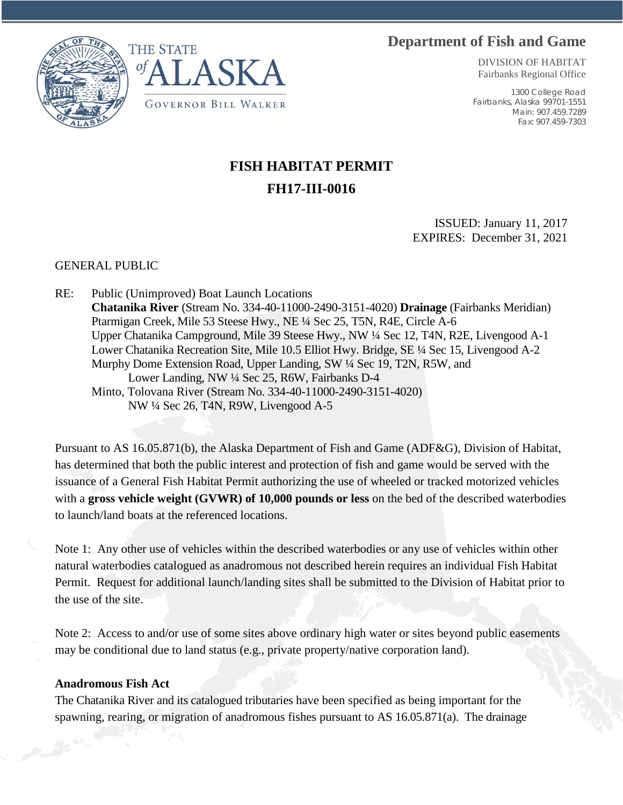## **Department of Fish and Game**





DIVISION OF HABITAT Fairbanks Regional Office

1300 College Road Fairbanks, Alaska 99701-1551 Main: 907.459.7289 Fax: 907.459-7303

## **FISH HABITAT PERMIT FH17-III-0016**

ISSUED: January 11, 2017 EXPIRES: December 31, 2021

GENERAL PUBLIC

RE: Public (Unimproved) Boat Launch Locations **Chatanika River** (Stream No. 334-40-11000-2490-3151-4020) **Drainage** (Fairbanks Meridian) Ptarmigan Creek, Mile 53 Steese Hwy., NE ¼ Sec 25, T5N, R4E, Circle A-6 Upper Chatanika Campground, Mile 39 Steese Hwy., NW ¼ Sec 12, T4N, R2E, Livengood A-1 Lower Chatanika Recreation Site, Mile 10.5 Elliot Hwy. Bridge, SE ¼ Sec 15, Livengood A-2 Murphy Dome Extension Road, Upper Landing, SW ¼ Sec 19, T2N, R5W, and Lower Landing, NW ¼ Sec 25, R6W, Fairbanks D-4 Minto, Tolovana River (Stream No. 334-40-11000-2490-3151-4020) NW ¼ Sec 26, T4N, R9W, Livengood A-5

Pursuant to AS 16.05.871(b), the Alaska Department of Fish and Game (ADF&G), Division of Habitat, has determined that both the public interest and protection of fish and game would be served with the issuance of a General Fish Habitat Permit authorizing the use of wheeled or tracked motorized vehicles with a **gross vehicle weight (GVWR) of 10,000 pounds or less** on the bed of the described waterbodies to launch/land boats at the referenced locations.

Note 1: Any other use of vehicles within the described waterbodies or any use of vehicles within other natural waterbodies catalogued as anadromous not described herein requires an individual Fish Habitat Permit. Request for additional launch/landing sites shall be submitted to the Division of Habitat prior to the use of the site.

Note 2: Access to and/or use of some sites above ordinary high water or sites beyond public easements may be conditional due to land status (e.g., private property/native corporation land).

## **Anadromous Fish Act**

The Chatanika River and its catalogued tributaries have been specified as being important for the spawning, rearing, or migration of anadromous fishes pursuant to AS 16.05.871(a). The drainage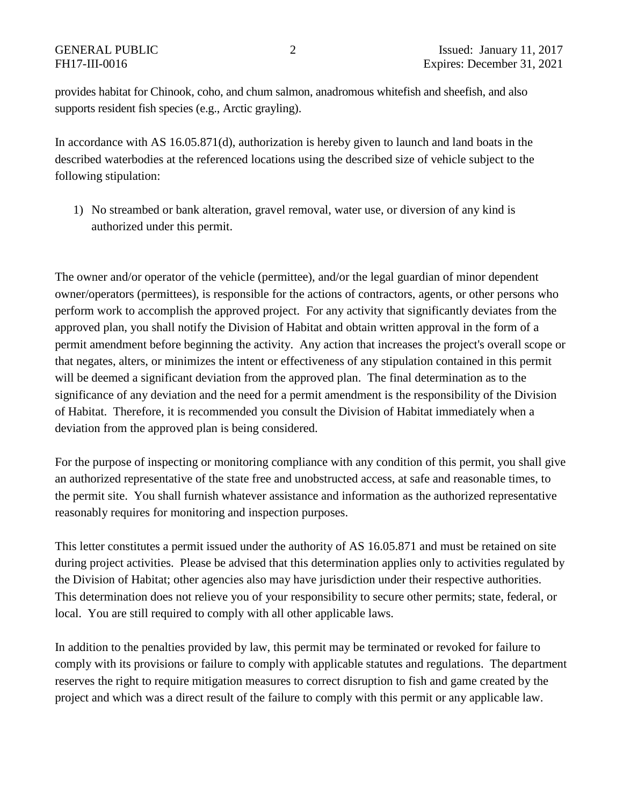provides habitat for Chinook, coho, and chum salmon, anadromous whitefish and sheefish, and also supports resident fish species (e.g., Arctic grayling).

In accordance with AS 16.05.871(d), authorization is hereby given to launch and land boats in the described waterbodies at the referenced locations using the described size of vehicle subject to the following stipulation:

1) No streambed or bank alteration, gravel removal, water use, or diversion of any kind is authorized under this permit.

The owner and/or operator of the vehicle (permittee), and/or the legal guardian of minor dependent owner/operators (permittees), is responsible for the actions of contractors, agents, or other persons who perform work to accomplish the approved project. For any activity that significantly deviates from the approved plan, you shall notify the Division of Habitat and obtain written approval in the form of a permit amendment before beginning the activity. Any action that increases the project's overall scope or that negates, alters, or minimizes the intent or effectiveness of any stipulation contained in this permit will be deemed a significant deviation from the approved plan. The final determination as to the significance of any deviation and the need for a permit amendment is the responsibility of the Division of Habitat. Therefore, it is recommended you consult the Division of Habitat immediately when a deviation from the approved plan is being considered.

For the purpose of inspecting or monitoring compliance with any condition of this permit, you shall give an authorized representative of the state free and unobstructed access, at safe and reasonable times, to the permit site. You shall furnish whatever assistance and information as the authorized representative reasonably requires for monitoring and inspection purposes.

This letter constitutes a permit issued under the authority of AS 16.05.871 and must be retained on site during project activities. Please be advised that this determination applies only to activities regulated by the Division of Habitat; other agencies also may have jurisdiction under their respective authorities. This determination does not relieve you of your responsibility to secure other permits; state, federal, or local. You are still required to comply with all other applicable laws.

In addition to the penalties provided by law, this permit may be terminated or revoked for failure to comply with its provisions or failure to comply with applicable statutes and regulations. The department reserves the right to require mitigation measures to correct disruption to fish and game created by the project and which was a direct result of the failure to comply with this permit or any applicable law.